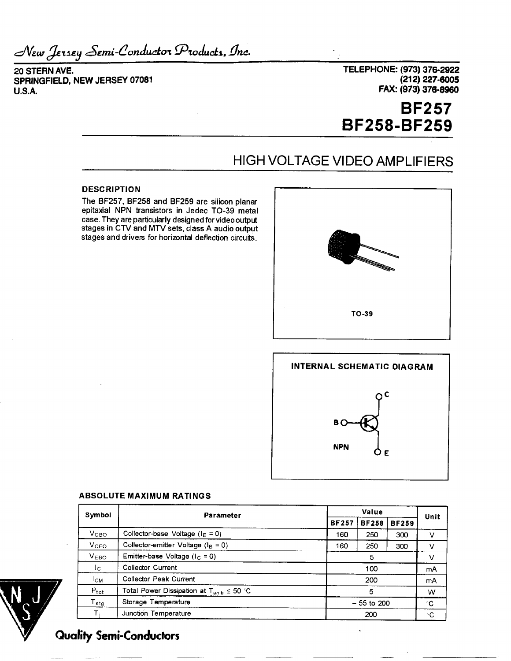*.zSem.i-Conawito'i* , fi*ne.*

**20 STERN AVE. SPRINGFIELD, NEW JERSEY 07081 U.SA**

**TELEPHONE: (973) 376-2922 (212)227-6005 FAX: (973) 376-8960**

# **BF257 BF258-BF259**

# HIGH VOLTAGE VIDEO AMPLIFIERS

### **DESCRIPTION**

The BF257, BF258 and BF259 are silicon planar epitaxial NPN transistors in Jedec TO-39 metal case. They are particularly designed for video output stages in CTV and MTV sets, class A audio output stages and drivers for horizontal deflection circuits.





### **ABSOLUTE MAXIMUM RATINGS**

| Symbol           | Parameter                                        |              | Value        |              |      |
|------------------|--------------------------------------------------|--------------|--------------|--------------|------|
|                  |                                                  |              | <b>BF258</b> | <b>BF259</b> | Unit |
| V <sub>CBO</sub> | Collector-base Voltage ( $I_E = 0$ )             | 160          | 250          | 300          | v    |
| V <sub>CEO</sub> | Collector-emitter Voltage ( $I_B = 0$ )          | 160          | 250          | 300          | ν    |
| V <sub>EBO</sub> | Emitter-base Voltage ( $I_C = 0$ )               |              | 5            |              |      |
| Ic.              | <b>Collector Current</b>                         | 100          |              |              | mA   |
| $L_{CM}$         | Collector Peak Current                           | 200          |              |              | mA   |
| $P_{tot}$        | Total Power Dissipation at $T_{amb} \leq 50$ °C. | 5            |              |              | W    |
| $T_{\text{stg}}$ | Storage Temperature                              | $-55$ to 200 |              | °C.          |      |
|                  | Junction Temperature                             | 200          |              |              | ٠c   |



## **Qualify Semi-Conductors**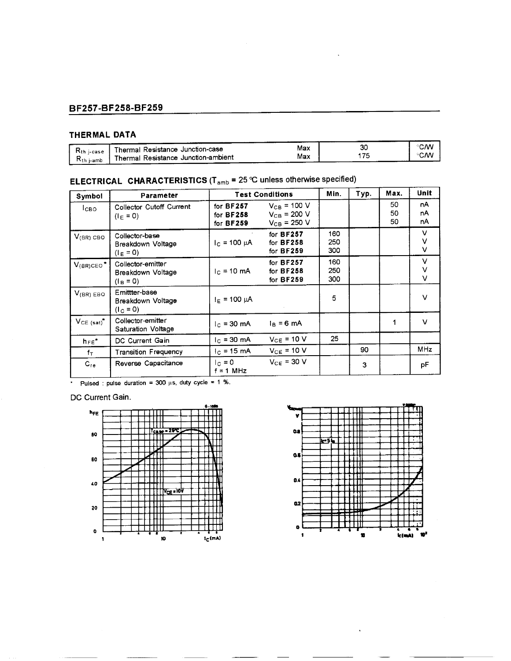### **BF257-BF258-BF259**

### **THERMAL DATA**

| K <sub>th</sub> i-case<br>Kth i-amb | -------<br>Thermal Resistance Junction-case<br>Thermal Resistance Junction-ambient | Max<br>Max | 30 | <b>CM</b><br>CM |
|-------------------------------------|------------------------------------------------------------------------------------|------------|----|-----------------|
|                                     |                                                                                    |            |    |                 |

# **ELECTRICAL CHARACTERISTICS** ( $T_{amb}$  = 25  $°C$  unless otherwise specified)

| Symbol                     | Parameter                                             | <b>Test Conditions</b>                | Min.                                                     | Typ.              | Max. | Unit           |                |
|----------------------------|-------------------------------------------------------|---------------------------------------|----------------------------------------------------------|-------------------|------|----------------|----------------|
| Ісво                       | Collector Cutoff Current<br>$(I_E = 0)$               | for BF257<br>for $BF258$<br>for BF259 | $V_{CB}$ = 100 V<br>$V_{CB}$ = 200 V<br>$V_{CB}$ = 250 V |                   |      | 50<br>50<br>50 | nA<br>nA<br>nA |
| $V_{(BR)}$ CBO             | Collector-base<br>Breakdown Voltage<br>$(I_E = 0)$    | $I_C = 100 \mu A$                     | for $BF257$<br>for BF258<br>for $BF259$                  | 160<br>250<br>300 |      |                | V<br>v<br>v    |
| $V_{(BR)CEO}$ <sup>*</sup> | Collector-emitter<br>Breakdown Voltage<br>$(I_8 = 0)$ | $Ic = 10$ mA                          | for $BF257$<br>for BF258<br>for <b>BF259</b>             | 160<br>250<br>300 |      |                | v<br>V<br>V    |
| $V_{(BR)}$ EBO             | Emittter-base<br>Breakdown Voltage<br>$(I_C = 0)$     | $I_E$ = 100 µA                        |                                                          | 5                 |      |                | $\vee$         |
| $V_{CE (sat)}$             | Collector-emitter<br><b>Saturation Voltage</b>        | $c = 30$ mA                           | $I_B = 6$ mA                                             |                   |      | 1              | V              |
| $h_{FE}$ *                 | DC Current Gain                                       | $I_{C}$ = 30 mA                       | $V_{CE}$ = 10 V                                          | 25                |      |                |                |
| $f_{\rm T}$                | <b>Transition Frequency</b>                           | $1c$ = 15 mA                          | $V_{CE}$ = 10 V                                          |                   | 90   |                | <b>MHz</b>     |
| $C_{re}$                   | Reverse Capacitance                                   | $I_{\rm C} = 0$<br>$f = 1$ MHz        | $V_{CE}$ = 30 V                                          |                   | 3    |                | рF             |

 $\overline{P_{ul}}$   $\overline{P_{ul}}$   $\overline{P_{ul}}$   $\overline{P_{ul}}$   $\overline{P_{ul}}$   $\overline{P_{ul}}$   $\overline{P_{ul}}$   $\overline{P_{ul}}$   $\overline{P_{ul}}$   $\overline{P_{ul}}$   $\overline{P_{ul}}$   $\overline{P_{ul}}$   $\overline{P_{ul}}$   $\overline{P_{ul}}$   $\overline{P_{ul}}$   $\overline{P_{ul}}$   $\overline{P_{ul}}$   $\overline{P_{ul}}$   $\overline{P_{ul}}$   $\overline{P_{ul}}$ 

DC Current Gain.